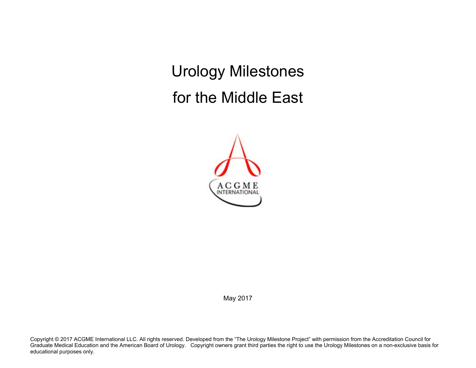Urology Milestones for the Middle East



May 2017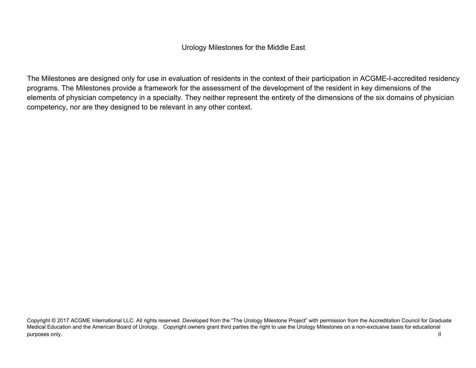### Urology Milestones for the Middle East

The Milestones are designed only for use in evaluation of residents in the context of their participation in ACGME-I-accredited residency programs. The Milestones provide a framework for the assessment of the development of the resident in key dimensions of the elements of physician competency in a specialty. They neither represent the entirety of the dimensions of the six domains of physician competency, nor are they designed to be relevant in any other context.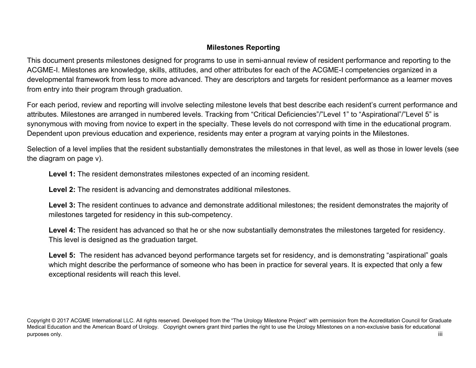# **Milestones Reporting**

This document presents milestones designed for programs to use in semi-annual review of resident performance and reporting to the ACGME-I. Milestones are knowledge, skills, attitudes, and other attributes for each of the ACGME-I competencies organized in a developmental framework from less to more advanced. They are descriptors and targets for resident performance as a learner moves from entry into their program through graduation.

For each period, review and reporting will involve selecting milestone levels that best describe each resident's current performance and attributes. Milestones are arranged in numbered levels. Tracking from "Critical Deficiencies"/"Level 1" to "Aspirational"/"Level 5" is synonymous with moving from novice to expert in the specialty. These levels do not correspond with time in the educational program. Dependent upon previous education and experience, residents may enter a program at varying points in the Milestones.

Selection of a level implies that the resident substantially demonstrates the milestones in that level, as well as those in lower levels (see the diagram on page v).

**Level 1:** The resident demonstrates milestones expected of an incoming resident.

**Level 2:** The resident is advancing and demonstrates additional milestones.

Level 3: The resident continues to advance and demonstrate additional milestones; the resident demonstrates the majority of milestones targeted for residency in this sub-competency.

Level 4: The resident has advanced so that he or she now substantially demonstrates the milestones targeted for residency. This level is designed as the graduation target.

Level 5: The resident has advanced beyond performance targets set for residency, and is demonstrating "aspirational" goals which might describe the performance of someone who has been in practice for several years. It is expected that only a few exceptional residents will reach this level.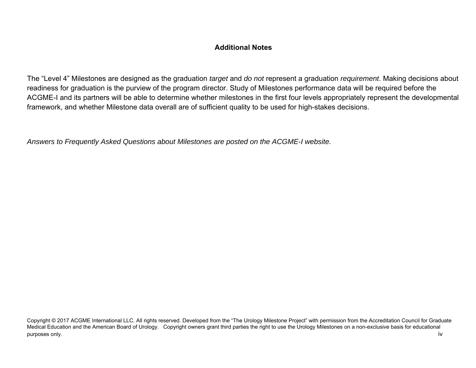## **Additional Notes**

The "Level 4" Milestones are designed as the graduation *target* and *do not* represent a graduation *requirement*. Making decisions about readiness for graduation is the purview of the program director. Study of Milestones performance data will be required before the ACGME-I and its partners will be able to determine whether milestones in the first four levels appropriately represent the developmental framework, and whether Milestone data overall are of sufficient quality to be used for high-stakes decisions.

*Answers to Frequently Asked Questions about Milestones are posted on the ACGME-I website.*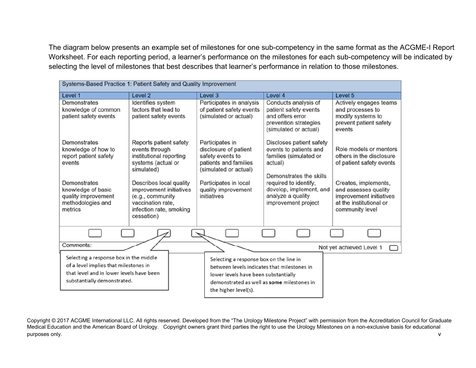The diagram below presents an example set of milestones for one sub-competency in the same format as the ACGME-I Report Worksheet. For each reporting period, a learner's performance on the milestones for each sub-competency will be indicated by selecting the level of milestones that best describes that learner's performance in relation to those milestones.

| Systems-Based Practice 1: Patient Safety and Quality Improvement                                                                                           |                                                                                                                                                               |                                                                                                                                                                                                      |                                                                                                                                                                        |                                                                                                                                |
|------------------------------------------------------------------------------------------------------------------------------------------------------------|---------------------------------------------------------------------------------------------------------------------------------------------------------------|------------------------------------------------------------------------------------------------------------------------------------------------------------------------------------------------------|------------------------------------------------------------------------------------------------------------------------------------------------------------------------|--------------------------------------------------------------------------------------------------------------------------------|
| Level 1                                                                                                                                                    | Level 2                                                                                                                                                       | Level 3                                                                                                                                                                                              | Level 4                                                                                                                                                                | Level 5                                                                                                                        |
| Demonstrates<br>knowledge of common<br>patient safety events                                                                                               | Identifies system<br>factors that lead to<br>patient safety events                                                                                            | Participates in analysis<br>of patient safety events<br>(simulated or actual)                                                                                                                        | Conducts analysis of<br>patient safety events<br>and offers error<br>prevention strategies<br>(simulated or actual)                                                    | Actively engages teams<br>and processes to<br>modify systems to<br>prevent patient safety<br>events                            |
| Demonstrates<br>knowledge of how to<br>report patient safety<br>events<br>Demonstrates<br>knowledge of basic                                               | Reports patient safety<br>events through<br>institutional reporting<br>systems (actual or<br>simulated)<br>Describes local quality<br>improvement initiatives | Participates in<br>disclosure of patient<br>safety events to<br>patients and families<br>(simulated or actual)<br>Participates in local<br>quality improvement                                       | Discloses patient safety<br>events to patients and<br>families (simulated or<br>actual)<br>Demonstrates the skills<br>required to identify,<br>develop, implement, and | Role models or mentors<br>others in the disclosure<br>of patient safety events<br>Creates, implements,<br>and assesses quality |
| quality improvement<br>methodologies and<br>metrics                                                                                                        | (e.g., community<br>vaccination rate.<br>infection rate, smoking<br>cessation)                                                                                | initiatives                                                                                                                                                                                          | analyze a quality<br>improvement project                                                                                                                               | improvement initiatives<br>at the institutional or<br>community level                                                          |
|                                                                                                                                                            |                                                                                                                                                               |                                                                                                                                                                                                      |                                                                                                                                                                        |                                                                                                                                |
| Comments:                                                                                                                                                  |                                                                                                                                                               |                                                                                                                                                                                                      |                                                                                                                                                                        | Not yet achieved Level 1                                                                                                       |
| Selecting a response box in the middle<br>of a level implies that milestones in<br>that level and in lower levels have been<br>substantially demonstrated. |                                                                                                                                                               | Selecting a response box on the line in<br>between levels indicates that milestones in<br>lower levels have been substantially<br>demonstrated as well as some milestones in<br>the higher level(s). |                                                                                                                                                                        |                                                                                                                                |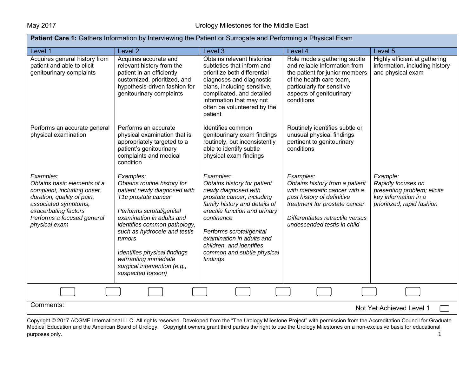| <b>Patient Care 1:</b> Gathers Information by Interviewing the Patient or Surrogate and Performing a Physical Exam                                                                                   |                                                                                                                                                                                                                                                                                                                                                  |                                                                                                                                                                                                                                                                                                               |                                                                                                                                                                                                                |                                                                                                                     |  |
|------------------------------------------------------------------------------------------------------------------------------------------------------------------------------------------------------|--------------------------------------------------------------------------------------------------------------------------------------------------------------------------------------------------------------------------------------------------------------------------------------------------------------------------------------------------|---------------------------------------------------------------------------------------------------------------------------------------------------------------------------------------------------------------------------------------------------------------------------------------------------------------|----------------------------------------------------------------------------------------------------------------------------------------------------------------------------------------------------------------|---------------------------------------------------------------------------------------------------------------------|--|
| Level 1                                                                                                                                                                                              | Level 2                                                                                                                                                                                                                                                                                                                                          | Level 3                                                                                                                                                                                                                                                                                                       | Level 4                                                                                                                                                                                                        | Level 5                                                                                                             |  |
| Acquires general history from<br>patient and able to elicit<br>genitourinary complaints                                                                                                              | Acquires accurate and<br>relevant history from the<br>patient in an efficiently<br>customized, prioritized, and<br>hypothesis-driven fashion for<br>genitourinary complaints                                                                                                                                                                     | Obtains relevant historical<br>subtleties that inform and<br>prioritize both differential<br>diagnoses and diagnostic<br>plans, including sensitive,<br>complicated, and detailed<br>information that may not<br>often be volunteered by the<br>patient                                                       | Role models gathering subtle<br>and reliable information from<br>the patient for junior members<br>of the health care team,<br>particularly for sensitive<br>aspects of genitourinary<br>conditions            | Highly efficient at gathering<br>information, including history<br>and physical exam                                |  |
| Performs an accurate general<br>physical examination                                                                                                                                                 | Performs an accurate<br>physical examination that is<br>appropriately targeted to a<br>patient's genitourinary<br>complaints and medical<br>condition                                                                                                                                                                                            | Identifies common<br>genitourinary exam findings<br>routinely, but inconsistently<br>able to identify subtle<br>physical exam findings                                                                                                                                                                        | Routinely identifies subtle or<br>unusual physical findings<br>pertinent to genitourinary<br>conditions                                                                                                        |                                                                                                                     |  |
| Examples:<br>Obtains basic elements of a<br>complaint, including onset,<br>duration, quality of pain,<br>associated symptoms,<br>exacerbating factors<br>Performs a focused general<br>physical exam | Examples:<br>Obtains routine history for<br>patient newly diagnosed with<br>T1c prostate cancer<br>Performs scrotal/genital<br>examination in adults and<br>identifies common pathology,<br>such as hydrocele and testis<br>tumors<br>Identifies physical findings<br>warranting immediate<br>surgical intervention (e.g.,<br>suspected torsion) | Examples:<br>Obtains history for patient<br>newly diagnosed with<br>prostate cancer, including<br>family history and details of<br>erectile function and urinary<br>continence<br>Performs scrotal/genital<br>examination in adults and<br>children, and identifies<br>common and subtle physical<br>findings | Examples:<br>Obtains history from a patient<br>with metastatic cancer with a<br>past history of definitive<br>treatment for prostate cancer<br>Differentiates retractile versus<br>undescended testis in child | Example:<br>Rapidly focuses on<br>presenting problem; elicits<br>key information in a<br>prioritized, rapid fashion |  |
|                                                                                                                                                                                                      |                                                                                                                                                                                                                                                                                                                                                  |                                                                                                                                                                                                                                                                                                               |                                                                                                                                                                                                                |                                                                                                                     |  |
| Comments:<br>Not Yet Achieved Level 1                                                                                                                                                                |                                                                                                                                                                                                                                                                                                                                                  |                                                                                                                                                                                                                                                                                                               |                                                                                                                                                                                                                |                                                                                                                     |  |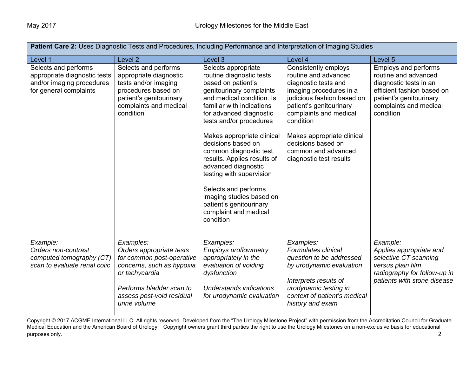| Patient Care 2: Uses Diagnostic Tests and Procedures, Including Performance and Interpretation of Imaging Studies |                                                                                                                                                                                            |                                                                                                                                                                                                                                                                                   |                                                                                                                                                                                                 |                                                                                                                                                                               |
|-------------------------------------------------------------------------------------------------------------------|--------------------------------------------------------------------------------------------------------------------------------------------------------------------------------------------|-----------------------------------------------------------------------------------------------------------------------------------------------------------------------------------------------------------------------------------------------------------------------------------|-------------------------------------------------------------------------------------------------------------------------------------------------------------------------------------------------|-------------------------------------------------------------------------------------------------------------------------------------------------------------------------------|
| Level 1                                                                                                           | Level <sub>2</sub>                                                                                                                                                                         | Level 3                                                                                                                                                                                                                                                                           | Level 4                                                                                                                                                                                         | Level 5                                                                                                                                                                       |
| Selects and performs<br>appropriate diagnostic tests<br>and/or imaging procedures<br>for general complaints       | Selects and performs<br>appropriate diagnostic<br>tests and/or imaging<br>procedures based on<br>patient's genitourinary<br>complaints and medical<br>condition                            | Selects appropriate<br>routine diagnostic tests<br>based on patient's<br>genitourinary complaints<br>and medical condition. Is<br>familiar with indications<br>for advanced diagnostic<br>tests and/or procedures                                                                 | Consistently employs<br>routine and advanced<br>diagnostic tests and<br>imaging procedures in a<br>judicious fashion based on<br>patient's genitourinary<br>complaints and medical<br>condition | <b>Employs and performs</b><br>routine and advanced<br>diagnostic tests in an<br>efficient fashion based on<br>patient's genitourinary<br>complaints and medical<br>condition |
|                                                                                                                   |                                                                                                                                                                                            | Makes appropriate clinical<br>decisions based on<br>common diagnostic test<br>results. Applies results of<br>advanced diagnostic<br>testing with supervision<br>Selects and performs<br>imaging studies based on<br>patient's genitourinary<br>complaint and medical<br>condition | Makes appropriate clinical<br>decisions based on<br>common and advanced<br>diagnostic test results                                                                                              |                                                                                                                                                                               |
| Example:<br>Orders non-contrast<br>computed tomography (CT)<br>scan to evaluate renal colic                       | Examples:<br>Orders appropriate tests<br>for common post-operative<br>concerns, such as hypoxia<br>or tachycardia<br>Performs bladder scan to<br>assess post-void residual<br>urine volume | Examples:<br><b>Employs uroflowmetry</b><br>appropriately in the<br>evaluation of voiding<br>dysfunction<br>Understands indications<br>for urodynamic evaluation                                                                                                                  | Examples:<br>Formulates clinical<br>question to be addressed<br>by urodynamic evaluation<br>Interprets results of<br>urodynamic testing in<br>context of patient's medical<br>history and exam  | Example:<br>Applies appropriate and<br>selective CT scanning<br>versus plain film<br>radiography for follow-up in<br>patients with stone disease                              |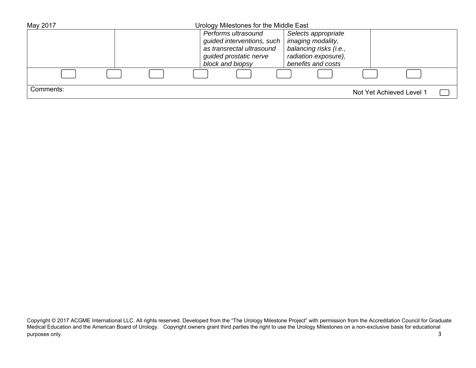| May 2017  | Urology Milestones for the Middle East |                            |                        |                          |  |
|-----------|----------------------------------------|----------------------------|------------------------|--------------------------|--|
|           |                                        | Performs ultrasound        | Selects appropriate    |                          |  |
|           |                                        | guided interventions, such | imaging modality,      |                          |  |
|           |                                        | as transrectal ultrasound  | balancing risks (i.e., |                          |  |
|           |                                        | guided prostatic nerve     | radiation exposure),   |                          |  |
|           |                                        | block and biopsy           | benefits and costs     |                          |  |
|           |                                        |                            |                        |                          |  |
| Comments: |                                        |                            |                        | Not Yet Achieved Level 1 |  |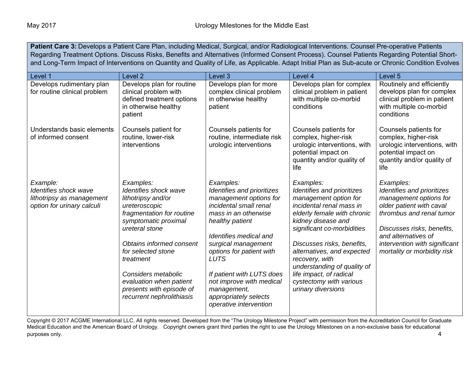**Patient Care 3:** Develops a Patient Care Plan, including Medical, Surgical, and/or Radiological Interventions. Counsel Pre-operative Patients Regarding Treatment Options. Discuss Risks, Benefits and Alternatives (Informed Consent Process). Counsel Patients Regarding Potential Shortand Long-Term Impact of Interventions on Quantity and Quality of Life, as Applicable. Adapt Initial Plan as Sub-acute or Chronic Condition Evolves

| Level 1                                                                                      | Level 2                                                                                                                                                                                                                                                                                                                    | Level 3                                                                                                                                                                                                                                                                                                                                                       | Level 4                                                                                                                                                                                                                                                                                                                                                                  | Level 5                                                                                                                                                                                                                                        |
|----------------------------------------------------------------------------------------------|----------------------------------------------------------------------------------------------------------------------------------------------------------------------------------------------------------------------------------------------------------------------------------------------------------------------------|---------------------------------------------------------------------------------------------------------------------------------------------------------------------------------------------------------------------------------------------------------------------------------------------------------------------------------------------------------------|--------------------------------------------------------------------------------------------------------------------------------------------------------------------------------------------------------------------------------------------------------------------------------------------------------------------------------------------------------------------------|------------------------------------------------------------------------------------------------------------------------------------------------------------------------------------------------------------------------------------------------|
| Develops rudimentary plan<br>for routine clinical problem                                    | Develops plan for routine<br>clinical problem with<br>defined treatment options<br>in otherwise healthy<br>patient                                                                                                                                                                                                         | Develops plan for more<br>complex clinical problem<br>in otherwise healthy<br>patient                                                                                                                                                                                                                                                                         | Develops plan for complex<br>clinical problem in patient<br>with multiple co-morbid<br>conditions                                                                                                                                                                                                                                                                        | Routinely and efficiently<br>develops plan for complex<br>clinical problem in patient<br>with multiple co-morbid<br>conditions                                                                                                                 |
| Understands basic elements<br>of informed consent                                            | Counsels patient for<br>routine, lower-risk<br>interventions                                                                                                                                                                                                                                                               | Counsels patients for<br>routine, intermediate risk<br>urologic interventions                                                                                                                                                                                                                                                                                 | Counsels patients for<br>complex, higher-risk<br>urologic interventions, with<br>potential impact on<br>quantity and/or quality of<br>life                                                                                                                                                                                                                               | Counsels patients for<br>complex, higher-risk<br>urologic interventions, with<br>potential impact on<br>quantity and/or quality of<br>life                                                                                                     |
| Example:<br>Identifies shock wave<br>lithotripsy as management<br>option for urinary calculi | Examples:<br>Identifies shock wave<br>lithotripsy and/or<br>ureteroscopic<br>fragmentation for routine<br>symptomatic proximal<br>ureteral stone<br>Obtains informed consent<br>for selected stone<br>treatment<br>Considers metabolic<br>evaluation when patient<br>presents with episode of<br>recurrent nephrolithiasis | Examples:<br>Identifies and prioritizes<br>management options for<br>incidental small renal<br>mass in an otherwise<br>healthy patient<br>Identifies medical and<br>surgical management<br>options for patient with<br><b>LUTS</b><br>If patient with LUTS does<br>not improve with medical<br>management,<br>appropriately selects<br>operative intervention | Examples:<br>Identifies and prioritizes<br>management option for<br>incidental renal mass in<br>elderly female with chronic<br>kidney disease and<br>significant co-morbidities<br>Discusses risks, benefits,<br>alternatives, and expected<br>recovery, with<br>understanding of quality of<br>life impact, of radical<br>cystectomy with various<br>urinary diversions | Examples:<br>Identifies and prioritizes<br>management options for<br>older patient with caval<br>thrombus and renal tumor<br>Discusses risks, benefits,<br>and alternatives of<br>intervention with significant<br>mortality or morbidity risk |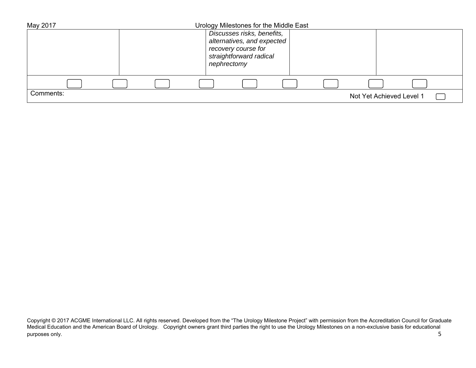| May 2017  | Urology Milestones for the Middle East            |                          |
|-----------|---------------------------------------------------|--------------------------|
|           | Discusses risks, benefits,                        |                          |
|           | alternatives, and expected<br>recovery course for |                          |
|           | straightforward radical                           |                          |
|           | nephrectomy                                       |                          |
|           |                                                   |                          |
|           |                                                   |                          |
| Comments: |                                                   | Not Yet Achieved Level 1 |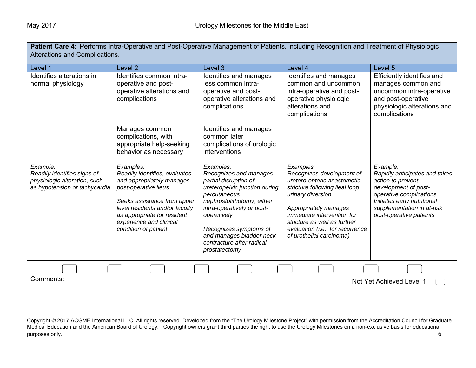| <b>Patient Care 4:</b> Performs Intra-Operative and Post-Operative Management of Patients, including Recognition and Treatment of Physiologic<br>Alterations and Complications. |                                                                                                                                                                                                                                                     |                                                                                                                                                                                                                                                                                              |                                                                                                                                                                                                                                                                                            |                                                                                                                                                                                                           |
|---------------------------------------------------------------------------------------------------------------------------------------------------------------------------------|-----------------------------------------------------------------------------------------------------------------------------------------------------------------------------------------------------------------------------------------------------|----------------------------------------------------------------------------------------------------------------------------------------------------------------------------------------------------------------------------------------------------------------------------------------------|--------------------------------------------------------------------------------------------------------------------------------------------------------------------------------------------------------------------------------------------------------------------------------------------|-----------------------------------------------------------------------------------------------------------------------------------------------------------------------------------------------------------|
| Level 1                                                                                                                                                                         | Level 2                                                                                                                                                                                                                                             | Level 3                                                                                                                                                                                                                                                                                      | Level 4                                                                                                                                                                                                                                                                                    | Level 5                                                                                                                                                                                                   |
| Identifies alterations in<br>normal physiology                                                                                                                                  | Identifies common intra-<br>operative and post-<br>operative alterations and<br>complications                                                                                                                                                       | Identifies and manages<br>less common intra-<br>operative and post-<br>operative alterations and<br>complications                                                                                                                                                                            | Identifies and manages<br>common and uncommon<br>intra-operative and post-<br>operative physiologic<br>alterations and<br>complications                                                                                                                                                    | Efficiently identifies and<br>manages common and<br>uncommon intra-operative<br>and post-operative<br>physiologic alterations and<br>complications                                                        |
|                                                                                                                                                                                 | Manages common<br>complications, with<br>appropriate help-seeking<br>behavior as necessary                                                                                                                                                          | Identifies and manages<br>common later<br>complications of urologic<br>interventions                                                                                                                                                                                                         |                                                                                                                                                                                                                                                                                            |                                                                                                                                                                                                           |
| Example:<br>Readily identifies signs of<br>physiologic alteration, such<br>as hypotension or tachycardia                                                                        | Examples:<br>Readily identifies, evaluates,<br>and appropriately manages<br>post-operative ileus<br>Seeks assistance from upper<br>level residents and/or faculty<br>as appropriate for resident<br>experience and clinical<br>condition of patient | Examples:<br>Recognizes and manages<br>partial disruption of<br>ureteropelvic junction during<br>percutaneous<br>nephrostolithotomy, either<br>intra-operatively or post-<br>operatively<br>Recognizes symptoms of<br>and manages bladder neck<br>contracture after radical<br>prostatectomy | Examples:<br>Recognizes development of<br>uretero-enteric anastomotic<br>stricture following ileal loop<br>urinary diversion<br>Appropriately manages<br><i>immediate intervention for</i><br>stricture as well as further<br>evaluation (i.e., for recurrence<br>of urothelial carcinoma) | Example:<br>Rapidly anticipates and takes<br>action to prevent<br>development of post-<br>operative complications<br>Initiates early nutritional<br>supplementation in at-risk<br>post-operative patients |
|                                                                                                                                                                                 |                                                                                                                                                                                                                                                     |                                                                                                                                                                                                                                                                                              |                                                                                                                                                                                                                                                                                            |                                                                                                                                                                                                           |
| Comments:<br>Not Yet Achieved Level 1                                                                                                                                           |                                                                                                                                                                                                                                                     |                                                                                                                                                                                                                                                                                              |                                                                                                                                                                                                                                                                                            |                                                                                                                                                                                                           |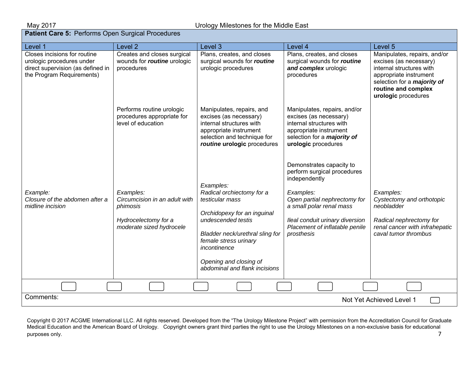| Level 1                                                                                                                     | Level <sub>2</sub>                                                                                         | Level <sub>3</sub>                                                                                                                                                                                                                                    | Level 4                                                                                                                                                                                                                              | Level 5                                                                                                                                                                                          |
|-----------------------------------------------------------------------------------------------------------------------------|------------------------------------------------------------------------------------------------------------|-------------------------------------------------------------------------------------------------------------------------------------------------------------------------------------------------------------------------------------------------------|--------------------------------------------------------------------------------------------------------------------------------------------------------------------------------------------------------------------------------------|--------------------------------------------------------------------------------------------------------------------------------------------------------------------------------------------------|
| Closes incisions for routine<br>urologic procedures under<br>direct supervision (as defined in<br>the Program Requirements) | Creates and closes surgical<br>wounds for routine urologic<br>procedures                                   | Plans, creates, and closes<br>surgical wounds for routine<br>urologic procedures                                                                                                                                                                      | Plans, creates, and closes<br>surgical wounds for routine<br>and complex urologic<br>procedures                                                                                                                                      | Manipulates, repairs, and/or<br>excises (as necessary)<br>internal structures with<br>appropriate instrument<br>selection for a <i>majority</i> of<br>routine and complex<br>urologic procedures |
|                                                                                                                             | Performs routine urologic<br>procedures appropriate for<br>level of education                              | Manipulates, repairs, and<br>excises (as necessary)<br>internal structures with<br>appropriate instrument<br>selection and technique for<br>routine urologic procedures                                                                               | Manipulates, repairs, and/or<br>excises (as necessary)<br>internal structures with<br>appropriate instrument<br>selection for a <i>majority</i> of<br>urologic procedures                                                            |                                                                                                                                                                                                  |
| Example:<br>Closure of the abdomen after a<br>midline incision                                                              | Examples:<br>Circumcision in an adult with<br>phimosis<br>Hydrocelectomy for a<br>moderate sized hydrocele | Examples:<br>Radical orchiectomy for a<br>testicular mass<br>Orchidopexy for an inguinal<br>undescended testis<br>Bladder neck/urethral sling for<br>female stress urinary<br>incontinence<br>Opening and closing of<br>abdominal and flank incisions | Demonstrates capacity to<br>perform surgical procedures<br>independently<br>Examples:<br>Open partial nephrectomy for<br>a small polar renal mass<br>Ileal conduit urinary diversion<br>Placement of inflatable penile<br>prosthesis | Examples:<br>Cystectomy and orthotopic<br>neobladder<br>Radical nephrectomy for<br>renal cancer with infrahepatic<br>caval tumor thrombus                                                        |
|                                                                                                                             |                                                                                                            |                                                                                                                                                                                                                                                       |                                                                                                                                                                                                                                      |                                                                                                                                                                                                  |
| Comments:<br>Not Yet Achieved Level 1                                                                                       |                                                                                                            |                                                                                                                                                                                                                                                       |                                                                                                                                                                                                                                      |                                                                                                                                                                                                  |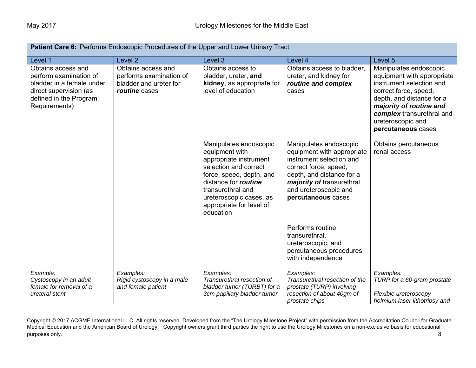| Patient Care 6: Performs Endoscopic Procedures of the Upper and Lower Urinary Tract                                                            |                                                                                          |                                                                                                                                                                                                                                          |                                                                                                                                                                                                                    |                                                                                                                                                                                                                                           |
|------------------------------------------------------------------------------------------------------------------------------------------------|------------------------------------------------------------------------------------------|------------------------------------------------------------------------------------------------------------------------------------------------------------------------------------------------------------------------------------------|--------------------------------------------------------------------------------------------------------------------------------------------------------------------------------------------------------------------|-------------------------------------------------------------------------------------------------------------------------------------------------------------------------------------------------------------------------------------------|
| Level 1                                                                                                                                        | Level <sub>2</sub>                                                                       | Level 3                                                                                                                                                                                                                                  | Level 4                                                                                                                                                                                                            | Level 5                                                                                                                                                                                                                                   |
| Obtains access and<br>perform examination of<br>bladder in a female under<br>direct supervision (as<br>defined in the Program<br>Requirements) | Obtains access and<br>performs examination of<br>bladder and ureter for<br>routine cases | Obtains access to<br>bladder, ureter, and<br>kidney, as appropriate for<br>level of education                                                                                                                                            | Obtains access to bladder,<br>ureter, and kidney for<br>routine and complex<br>cases                                                                                                                               | Manipulates endoscopic<br>equipment with appropriate<br>instrument selection and<br>correct force, speed,<br>depth, and distance for a<br>majority of routine and<br>complex transurethral and<br>ureteroscopic and<br>percutaneous cases |
|                                                                                                                                                |                                                                                          | Manipulates endoscopic<br>equipment with<br>appropriate instrument<br>selection and correct<br>force, speed, depth, and<br>distance for routine<br>transurethral and<br>ureteroscopic cases, as<br>appropriate for level of<br>education | Manipulates endoscopic<br>equipment with appropriate<br>instrument selection and<br>correct force, speed,<br>depth, and distance for a<br>majority of transurethral<br>and ureteroscopic and<br>percutaneous cases | Obtains percutaneous<br>renal access                                                                                                                                                                                                      |
|                                                                                                                                                |                                                                                          |                                                                                                                                                                                                                                          | Performs routine<br>transurethral,<br>ureteroscopic, and<br>percutaneous procedures<br>with independence                                                                                                           |                                                                                                                                                                                                                                           |
| Example:<br>Cystoscopy in an adult<br>female for removal of a<br>ureteral stent                                                                | Examples:<br>Rigid cystoscopy in a male<br>and female patient                            | Examples:<br>Transurethral resection of<br>bladder tumor (TURBT) for a<br>3cm papillary bladder tumor                                                                                                                                    | Examples:<br>Transurethral resection of the<br>prostate (TURP) involving<br>resection of about 40gm of<br>prostate chips                                                                                           | Examples:<br>TURP for a 60-gram prostate<br>Flexible ureteroscopy<br>holmium laser lithotripsy and                                                                                                                                        |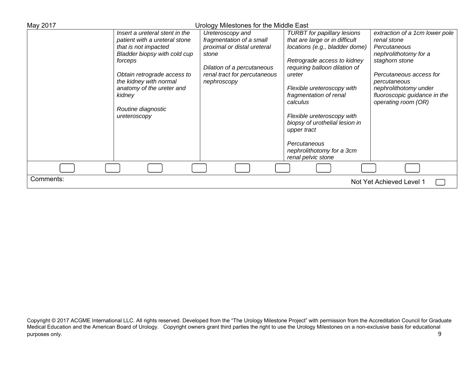| May 2017  | Urology Milestones for the Middle East |                              |                                    |                                |  |
|-----------|----------------------------------------|------------------------------|------------------------------------|--------------------------------|--|
|           | Insert a ureteral stent in the         | Ureteroscopy and             | <b>TURBT</b> for papillary lesions | extraction of a 1cm lower pole |  |
|           | patient with a ureteral stone          | fragmentation of a small     | that are large or in difficult     | renal stone                    |  |
|           | that is not impacted                   | proximal or distal ureteral  | locations (e.g., bladder dome)     | Percutaneous                   |  |
|           | Bladder biopsy with cold cup           | stone                        |                                    | nephrolithotomy for a          |  |
|           | forceps                                |                              | Retrograde access to kidney        | staghorn stone                 |  |
|           |                                        | Dilation of a percutaneous   | requiring balloon dilation of      |                                |  |
|           | Obtain retrograde access to            | renal tract for percutaneous | ureter                             | Percutaneous access for        |  |
|           | the kidney with normal                 | nephroscopy                  |                                    | percutaneous                   |  |
|           | anatomy of the ureter and              |                              | Flexible ureteroscopy with         | nephrolithotomy under          |  |
|           | kidney                                 |                              | fragmentation of renal             | fluoroscopic guidance in the   |  |
|           | Routine diagnostic                     |                              | calculus                           | operating room (OR)            |  |
|           | ureteroscopy                           |                              | Flexible ureteroscopy with         |                                |  |
|           |                                        |                              | biopsy of urothelial lesion in     |                                |  |
|           |                                        |                              | upper tract                        |                                |  |
|           |                                        |                              |                                    |                                |  |
|           |                                        |                              | Percutaneous                       |                                |  |
|           |                                        |                              | nephrolithotomy for a 3cm          |                                |  |
|           |                                        |                              | renal pelvic stone                 |                                |  |
|           |                                        |                              |                                    |                                |  |
| Comments: |                                        |                              |                                    | Not Yet Achieved Level 1       |  |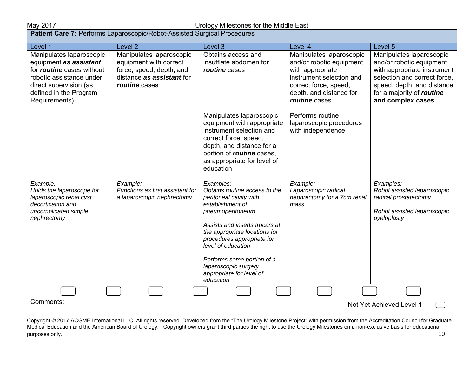#### May 2017 Urology Milestones for the Middle East

| Patient Care 7: Performs Laparoscopic/Robot-Assisted Surgical Procedures                                                                                                                |                                                                                                                              |                                                                                                                                                                                                                                                                                                                                    |                                                                                                                                                                           |                                                                                                                                                                                                     |  |
|-----------------------------------------------------------------------------------------------------------------------------------------------------------------------------------------|------------------------------------------------------------------------------------------------------------------------------|------------------------------------------------------------------------------------------------------------------------------------------------------------------------------------------------------------------------------------------------------------------------------------------------------------------------------------|---------------------------------------------------------------------------------------------------------------------------------------------------------------------------|-----------------------------------------------------------------------------------------------------------------------------------------------------------------------------------------------------|--|
| Level 1                                                                                                                                                                                 | Level <sub>2</sub>                                                                                                           | Level 3                                                                                                                                                                                                                                                                                                                            | Level 4                                                                                                                                                                   | Level 5                                                                                                                                                                                             |  |
| Manipulates laparoscopic<br>equipment as assistant<br>for <i>routine</i> cases without<br>robotic assistance under<br>direct supervision (as<br>defined in the Program<br>Requirements) | Manipulates laparoscopic<br>equipment with correct<br>force, speed, depth, and<br>distance as assistant for<br>routine cases | Obtains access and<br>insufflate abdomen for<br>routine cases                                                                                                                                                                                                                                                                      | Manipulates laparoscopic<br>and/or robotic equipment<br>with appropriate<br>instrument selection and<br>correct force, speed,<br>depth, and distance for<br>routine cases | Manipulates laparoscopic<br>and/or robotic equipment<br>with appropriate instrument<br>selection and correct force,<br>speed, depth, and distance<br>for a majority of routine<br>and complex cases |  |
|                                                                                                                                                                                         |                                                                                                                              | Manipulates laparoscopic<br>equipment with appropriate<br>instrument selection and<br>correct force, speed,<br>depth, and distance for a<br>portion of routine cases,<br>as appropriate for level of<br>education                                                                                                                  | Performs routine<br>laparoscopic procedures<br>with independence                                                                                                          |                                                                                                                                                                                                     |  |
| Example:<br>Holds the laparoscope for<br>laparoscopic renal cyst<br>decortication and<br>uncomplicated simple<br>nephrectomy                                                            | Example:<br>Functions as first assistant for<br>a laparoscopic nephrectomy                                                   | Examples:<br>Obtains routine access to the<br>peritoneal cavity with<br>establishment of<br>pneumoperitoneum<br>Assists and inserts trocars at<br>the appropriate locations for<br>procedures appropriate for<br>level of education<br>Performs some portion of a<br>laparoscopic surgery<br>appropriate for level of<br>education | Example:<br>Laparoscopic radical<br>nephrectomy for a 7cm renal<br>mass                                                                                                   | Examples:<br>Robot assisted laparoscopic<br>radical prostatectomy<br>Robot assisted laparoscopic<br>pyeloplasty                                                                                     |  |
|                                                                                                                                                                                         |                                                                                                                              |                                                                                                                                                                                                                                                                                                                                    |                                                                                                                                                                           |                                                                                                                                                                                                     |  |
| Comments:<br>Not Yet Achieved Level 1                                                                                                                                                   |                                                                                                                              |                                                                                                                                                                                                                                                                                                                                    |                                                                                                                                                                           |                                                                                                                                                                                                     |  |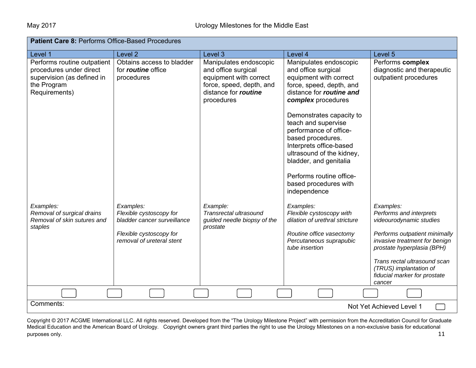| <b>Patient Care 8: Performs Office-Based Procedures</b>                                                              |                                                                                                                             |                                                                                                                                           |                                                                                                                                                                                                                                                       |                                                                                                                                                                                                                                                                     |  |
|----------------------------------------------------------------------------------------------------------------------|-----------------------------------------------------------------------------------------------------------------------------|-------------------------------------------------------------------------------------------------------------------------------------------|-------------------------------------------------------------------------------------------------------------------------------------------------------------------------------------------------------------------------------------------------------|---------------------------------------------------------------------------------------------------------------------------------------------------------------------------------------------------------------------------------------------------------------------|--|
| Level 1                                                                                                              | Level <sub>2</sub>                                                                                                          | Level 3                                                                                                                                   | Level 4                                                                                                                                                                                                                                               | Level 5                                                                                                                                                                                                                                                             |  |
| Performs routine outpatient<br>procedures under direct<br>supervision (as defined in<br>the Program<br>Requirements) | Obtains access to bladder<br>for <i>routine</i> office<br>procedures                                                        | Manipulates endoscopic<br>and office surgical<br>equipment with correct<br>force, speed, depth, and<br>distance for routine<br>procedures | Manipulates endoscopic<br>and office surgical<br>equipment with correct<br>force, speed, depth, and<br>distance for routine and<br>complex procedures                                                                                                 | Performs complex<br>diagnostic and therapeutic<br>outpatient procedures                                                                                                                                                                                             |  |
|                                                                                                                      |                                                                                                                             |                                                                                                                                           | Demonstrates capacity to<br>teach and supervise<br>performance of office-<br>based procedures.<br>Interprets office-based<br>ultrasound of the kidney,<br>bladder, and genitalia<br>Performs routine office-<br>based procedures with<br>independence |                                                                                                                                                                                                                                                                     |  |
| Examples:<br>Removal of surgical drains<br>Removal of skin sutures and<br>staples                                    | Examples:<br>Flexible cystoscopy for<br>bladder cancer surveillance<br>Flexible cystoscopy for<br>removal of ureteral stent | Example:<br>Transrectal ultrasound<br>guided needle biopsy of the<br>prostate                                                             | Examples:<br>Flexible cystoscopy with<br>dilation of urethral stricture<br>Routine office vasectomy<br>Percutaneous suprapubic<br>tube insertion                                                                                                      | Examples:<br>Performs and interprets<br>videourodynamic studies<br>Performs outpatient minimally<br>invasive treatment for benign<br>prostate hyperplasia (BPH)<br>Trans rectal ultrasound scan<br>(TRUS) implantation of<br>fiducial marker for prostate<br>cancer |  |
|                                                                                                                      |                                                                                                                             |                                                                                                                                           |                                                                                                                                                                                                                                                       |                                                                                                                                                                                                                                                                     |  |
| Comments:                                                                                                            |                                                                                                                             |                                                                                                                                           |                                                                                                                                                                                                                                                       | Not Yet Achieved Level 1                                                                                                                                                                                                                                            |  |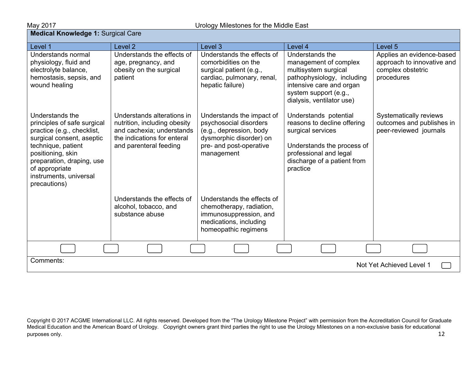# **May 2017**<br>**Medical Knowledge 1:** Surgical Care

| Level 1                                                                                                                                                                                                                                       | Level <sub>2</sub>                                                                                                                               | Level 3                                                                                                                                            | Level 4                                                                                                                                                                          | Level <sub>5</sub>                                                                         |
|-----------------------------------------------------------------------------------------------------------------------------------------------------------------------------------------------------------------------------------------------|--------------------------------------------------------------------------------------------------------------------------------------------------|----------------------------------------------------------------------------------------------------------------------------------------------------|----------------------------------------------------------------------------------------------------------------------------------------------------------------------------------|--------------------------------------------------------------------------------------------|
| Understands normal<br>physiology, fluid and<br>electrolyte balance,<br>hemostasis, sepsis, and<br>wound healing                                                                                                                               | Understands the effects of<br>age, pregnancy, and<br>obesity on the surgical<br>patient                                                          | Understands the effects of<br>comorbidities on the<br>surgical patient (e.g.,<br>cardiac, pulmonary, renal,<br>hepatic failure)                    | Understands the<br>management of complex<br>multisystem surgical<br>pathophysiology, including<br>intensive care and organ<br>system support (e.g.,<br>dialysis, ventilator use) | Applies an evidence-based<br>approach to innovative and<br>complex obstetric<br>procedures |
| Understands the<br>principles of safe surgical<br>practice (e.g., checklist,<br>surgical consent, aseptic<br>technique, patient<br>positioning, skin<br>preparation, draping, use<br>of appropriate<br>instruments, universal<br>precautions) | Understands alterations in<br>nutrition, including obesity<br>and cachexia; understands<br>the indications for enteral<br>and parenteral feeding | Understands the impact of<br>psychosocial disorders<br>(e.g., depression, body<br>dysmorphic disorder) on<br>pre- and post-operative<br>management | Understands potential<br>reasons to decline offering<br>surgical services<br>Understands the process of<br>professional and legal<br>discharge of a patient from<br>practice     | Systematically reviews<br>outcomes and publishes in<br>peer-reviewed journals              |
|                                                                                                                                                                                                                                               | Understands the effects of<br>alcohol, tobacco, and<br>substance abuse                                                                           | Understands the effects of<br>chemotherapy, radiation,<br>immunosuppression, and<br>medications, including<br>homeopathic regimens                 |                                                                                                                                                                                  |                                                                                            |
|                                                                                                                                                                                                                                               |                                                                                                                                                  |                                                                                                                                                    |                                                                                                                                                                                  |                                                                                            |
| Comments:                                                                                                                                                                                                                                     |                                                                                                                                                  |                                                                                                                                                    |                                                                                                                                                                                  | Not Yet Achieved Level 1                                                                   |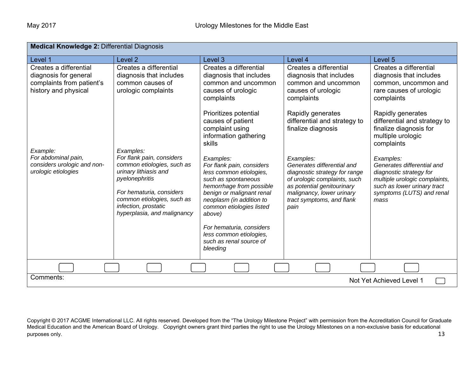| <b>Medical Knowledge 2: Differential Diagnosis</b>                                                   |                                                                                                                                                                                                                     |                                                                                                                                                                                                                                                                            |                                                                                                                                                                                                          |                                                                                                                                                                         |  |
|------------------------------------------------------------------------------------------------------|---------------------------------------------------------------------------------------------------------------------------------------------------------------------------------------------------------------------|----------------------------------------------------------------------------------------------------------------------------------------------------------------------------------------------------------------------------------------------------------------------------|----------------------------------------------------------------------------------------------------------------------------------------------------------------------------------------------------------|-------------------------------------------------------------------------------------------------------------------------------------------------------------------------|--|
| Level 1                                                                                              | Level <sub>2</sub>                                                                                                                                                                                                  | Level 3                                                                                                                                                                                                                                                                    | Level 4                                                                                                                                                                                                  | Level 5                                                                                                                                                                 |  |
| Creates a differential<br>diagnosis for general<br>complaints from patient's<br>history and physical | Creates a differential<br>diagnosis that includes<br>common causes of<br>urologic complaints                                                                                                                        | Creates a differential<br>diagnosis that includes<br>common and uncommon<br>causes of urologic<br>complaints                                                                                                                                                               | Creates a differential<br>diagnosis that includes<br>common and uncommon<br>causes of urologic<br>complaints                                                                                             | Creates a differential<br>diagnosis that includes<br>common, uncommon and<br>rare causes of urologic<br>complaints                                                      |  |
| Example:                                                                                             | Examples:                                                                                                                                                                                                           | Prioritizes potential<br>causes of patient<br>complaint using<br>information gathering<br>skills                                                                                                                                                                           | Rapidly generates<br>differential and strategy to<br>finalize diagnosis                                                                                                                                  | Rapidly generates<br>differential and strategy to<br>finalize diagnosis for<br>multiple urologic<br>complaints                                                          |  |
| For abdominal pain,<br>considers urologic and non-<br>urologic etiologies                            | For flank pain, considers<br>common etiologies, such as<br>urinary lithiasis and<br>pyelonephritis<br>For hematuria, considers<br>common etiologies, such as<br>infection, prostatic<br>hyperplasia, and malignancy | Examples:<br>For flank pain, considers<br>less common etiologies,<br>such as spontaneous<br>hemorrhage from possible<br>benign or malignant renal<br>neoplasm (in addition to<br>common etiologies listed<br>above)<br>For hematuria, considers<br>less common etiologies, | Examples:<br>Generates differential and<br>diagnostic strategy for range<br>of urologic complaints, such<br>as potential genitourinary<br>malignancy, lower urinary<br>tract symptoms, and flank<br>pain | Examples:<br>Generates differential and<br>diagnostic strategy for<br>multiple urologic complaints,<br>such as lower urinary tract<br>symptoms (LUTS) and renal<br>mass |  |
|                                                                                                      |                                                                                                                                                                                                                     | such as renal source of<br>bleeding                                                                                                                                                                                                                                        |                                                                                                                                                                                                          |                                                                                                                                                                         |  |
|                                                                                                      |                                                                                                                                                                                                                     |                                                                                                                                                                                                                                                                            |                                                                                                                                                                                                          |                                                                                                                                                                         |  |
| Comments:                                                                                            |                                                                                                                                                                                                                     |                                                                                                                                                                                                                                                                            |                                                                                                                                                                                                          | Not Yet Achieved Level 1                                                                                                                                                |  |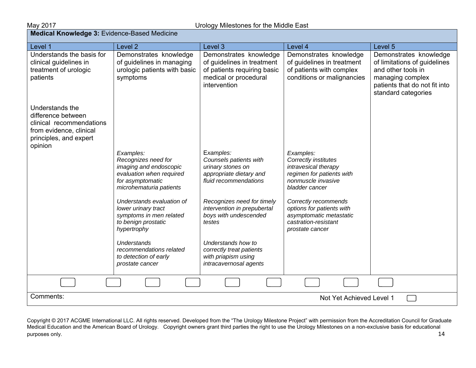| <b>Medical Knowledge 3: Evidence-Based Medicine</b>                                                                               |                                                                                                                                       |                                                                                                                              |                                                                                                                                |                                                                                                                                                          |  |
|-----------------------------------------------------------------------------------------------------------------------------------|---------------------------------------------------------------------------------------------------------------------------------------|------------------------------------------------------------------------------------------------------------------------------|--------------------------------------------------------------------------------------------------------------------------------|----------------------------------------------------------------------------------------------------------------------------------------------------------|--|
| Level 1                                                                                                                           | Level <sub>2</sub>                                                                                                                    | Level 3                                                                                                                      | Level 4                                                                                                                        | Level 5                                                                                                                                                  |  |
| Understands the basis for<br>clinical guidelines in<br>treatment of urologic<br>patients                                          | Demonstrates knowledge<br>of guidelines in managing<br>urologic patients with basic<br>symptoms                                       | Demonstrates knowledge<br>of guidelines in treatment<br>of patients requiring basic<br>medical or procedural<br>intervention | Demonstrates knowledge<br>of guidelines in treatment<br>of patients with complex<br>conditions or malignancies                 | Demonstrates knowledge<br>of limitations of guidelines<br>and other tools in<br>managing complex<br>patients that do not fit into<br>standard categories |  |
| Understands the<br>difference between<br>clinical recommendations<br>from evidence, clinical<br>principles, and expert<br>opinion |                                                                                                                                       |                                                                                                                              |                                                                                                                                |                                                                                                                                                          |  |
|                                                                                                                                   | Examples:<br>Recognizes need for<br>imaging and endoscopic<br>evaluation when required<br>for asymptomatic<br>microhematuria patients | Examples:<br>Counsels patients with<br>urinary stones on<br>appropriate dietary and<br>fluid recommendations                 | Examples:<br>Correctly institutes<br>intravesical therapy<br>regimen for patients with<br>nonmuscle invasive<br>bladder cancer |                                                                                                                                                          |  |
|                                                                                                                                   | Understands evaluation of<br>lower urinary tract<br>symptoms in men related<br>to benign prostatic<br>hypertrophy                     | Recognizes need for timely<br>intervention in prepubertal<br>boys with undescended<br>testes                                 | Correctly recommends<br>options for patients with<br>asymptomatic metastatic<br>castration-resistant<br>prostate cancer        |                                                                                                                                                          |  |
|                                                                                                                                   | <b>Understands</b><br>recommendations related<br>to detection of early<br>prostate cancer                                             | Understands how to<br>correctly treat patients<br>with priapism using<br>intracavernosal agents                              |                                                                                                                                |                                                                                                                                                          |  |
|                                                                                                                                   |                                                                                                                                       |                                                                                                                              |                                                                                                                                |                                                                                                                                                          |  |
| Comments:                                                                                                                         |                                                                                                                                       |                                                                                                                              | Not Yet Achieved Level 1                                                                                                       |                                                                                                                                                          |  |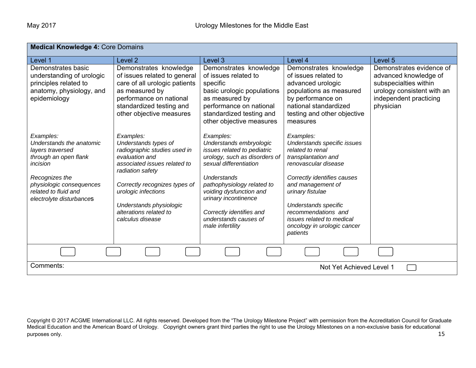| <b>Medical Knowledge 4: Core Domains</b>                                                                                                                                                         |                                                                                                                                                                                                                                                                          |                                                                                                                                                                                                                                                                                                         |                                                                                                                                                                                                                                                                                                            |                                                                                                                                                 |
|--------------------------------------------------------------------------------------------------------------------------------------------------------------------------------------------------|--------------------------------------------------------------------------------------------------------------------------------------------------------------------------------------------------------------------------------------------------------------------------|---------------------------------------------------------------------------------------------------------------------------------------------------------------------------------------------------------------------------------------------------------------------------------------------------------|------------------------------------------------------------------------------------------------------------------------------------------------------------------------------------------------------------------------------------------------------------------------------------------------------------|-------------------------------------------------------------------------------------------------------------------------------------------------|
| Level 1                                                                                                                                                                                          | Level <sub>2</sub>                                                                                                                                                                                                                                                       | Level 3                                                                                                                                                                                                                                                                                                 | Level 4                                                                                                                                                                                                                                                                                                    | Level 5                                                                                                                                         |
| Demonstrates basic<br>understanding of urologic<br>principles related to<br>anatomy, physiology, and<br>epidemiology                                                                             | Demonstrates knowledge<br>of issues related to general<br>care of all urologic patients<br>as measured by<br>performance on national<br>standardized testing and<br>other objective measures                                                                             | Demonstrates knowledge<br>of issues related to<br>specific<br>basic urologic populations<br>as measured by<br>performance on national<br>standardized testing and<br>other objective measures                                                                                                           | Demonstrates knowledge<br>of issues related to<br>advanced urologic<br>populations as measured<br>by performance on<br>national standardized<br>testing and other objective<br>measures                                                                                                                    | Demonstrates evidence of<br>advanced knowledge of<br>subspecialties within<br>urology consistent with an<br>independent practicing<br>physician |
| Examples:<br>Understands the anatomic<br>layers traversed<br>through an open flank<br>incision<br>Recognizes the<br>physiologic consequences<br>related to fluid and<br>electrolyte disturbances | Examples:<br>Understands types of<br>radiographic studies used in<br>evaluation and<br>associated issues related to<br>radiation safety<br>Correctly recognizes types of<br>urologic infections<br>Understands physiologic<br>alterations related to<br>calculus disease | Examples:<br>Understands embryologic<br>issues related to pediatric<br>urology, such as disorders of<br>sexual differentiation<br>Understands<br>pathophysiology related to<br>voiding dysfunction and<br>urinary incontinence<br>Correctly identifies and<br>understands causes of<br>male infertility | Examples:<br>Understands specific issues<br>related to renal<br>transplantation and<br>renovascular disease<br>Correctly identifies causes<br>and management of<br>urinary fistulae<br>Understands specific<br>recommendations and<br>issues related to medical<br>oncology in urologic cancer<br>patients |                                                                                                                                                 |
|                                                                                                                                                                                                  |                                                                                                                                                                                                                                                                          |                                                                                                                                                                                                                                                                                                         |                                                                                                                                                                                                                                                                                                            |                                                                                                                                                 |
| Comments:                                                                                                                                                                                        |                                                                                                                                                                                                                                                                          |                                                                                                                                                                                                                                                                                                         | Not Yet Achieved Level 1                                                                                                                                                                                                                                                                                   |                                                                                                                                                 |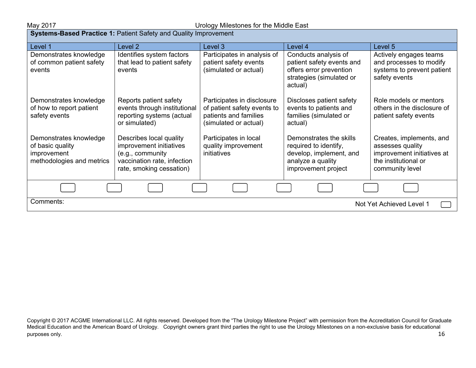#### May 2017 Urology Milestones for the Middle East

| Systems-Based Practice 1: Patient Safety and Quality Improvement                       |                                                                                                                                   |                                                                                                             |                                                                                                                         |                                                                                                                       |  |
|----------------------------------------------------------------------------------------|-----------------------------------------------------------------------------------------------------------------------------------|-------------------------------------------------------------------------------------------------------------|-------------------------------------------------------------------------------------------------------------------------|-----------------------------------------------------------------------------------------------------------------------|--|
| Level 1                                                                                | Level 2                                                                                                                           | Level 3                                                                                                     | Level 4                                                                                                                 | Level 5                                                                                                               |  |
| Demonstrates knowledge<br>of common patient safety<br>events                           | Identifies system factors<br>that lead to patient safety<br>events                                                                | Participates in analysis of<br>patient safety events<br>(simulated or actual)                               | Conducts analysis of<br>patient safety events and<br>offers error prevention<br>strategies (simulated or<br>actual)     | Actively engages teams<br>and processes to modify<br>systems to prevent patient<br>safety events                      |  |
| Demonstrates knowledge<br>of how to report patient<br>safety events                    | Reports patient safety<br>events through institutional<br>reporting systems (actual<br>or simulated)                              | Participates in disclosure<br>of patient safety events to<br>patients and families<br>(simulated or actual) | Discloses patient safety<br>events to patients and<br>families (simulated or<br>actual)                                 | Role models or mentors<br>others in the disclosure of<br>patient safety events                                        |  |
| Demonstrates knowledge<br>of basic quality<br>improvement<br>methodologies and metrics | Describes local quality<br>improvement initiatives<br>(e.g., community<br>vaccination rate, infection<br>rate, smoking cessation) | Participates in local<br>quality improvement<br>initiatives                                                 | Demonstrates the skills<br>required to identify,<br>develop, implement, and<br>analyze a quality<br>improvement project | Creates, implements, and<br>assesses quality<br>improvement initiatives at<br>the institutional or<br>community level |  |
|                                                                                        |                                                                                                                                   |                                                                                                             |                                                                                                                         |                                                                                                                       |  |
| Comments:                                                                              | Not Yet Achieved Level 1                                                                                                          |                                                                                                             |                                                                                                                         |                                                                                                                       |  |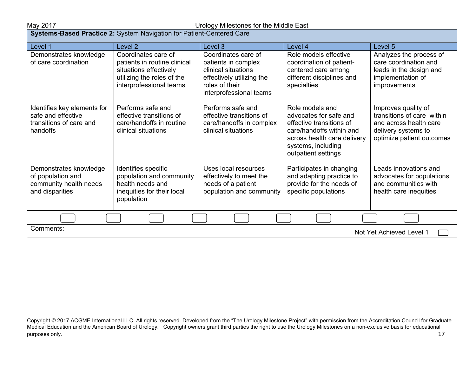#### May 2017 Urology Milestones for the Middle East

| Systems-Based Practice 2: System Navigation for Patient-Centered Care                    |                                                                                                                                        |                                                                                                                                             |                                                                                                                                                                               |                                                                                                                                 |  |
|------------------------------------------------------------------------------------------|----------------------------------------------------------------------------------------------------------------------------------------|---------------------------------------------------------------------------------------------------------------------------------------------|-------------------------------------------------------------------------------------------------------------------------------------------------------------------------------|---------------------------------------------------------------------------------------------------------------------------------|--|
| Level 1                                                                                  | Level <sub>2</sub>                                                                                                                     | Level 3                                                                                                                                     | Level 4                                                                                                                                                                       | Level 5                                                                                                                         |  |
| Demonstrates knowledge<br>of care coordination                                           | Coordinates care of<br>patients in routine clinical<br>situations effectively<br>utilizing the roles of the<br>interprofessional teams | Coordinates care of<br>patients in complex<br>clinical situations<br>effectively utilizing the<br>roles of their<br>interprofessional teams | Role models effective<br>coordination of patient-<br>centered care among<br>different disciplines and<br>specialties                                                          | Analyzes the process of<br>care coordination and<br>leads in the design and<br>implementation of<br>improvements                |  |
| Identifies key elements for<br>safe and effective<br>transitions of care and<br>handoffs | Performs safe and<br>effective transitions of<br>care/handoffs in routine<br>clinical situations                                       | Performs safe and<br>effective transitions of<br>care/handoffs in complex<br>clinical situations                                            | Role models and<br>advocates for safe and<br>effective transitions of<br>care/handoffs within and<br>across health care delivery<br>systems, including<br>outpatient settings | Improves quality of<br>transitions of care within<br>and across health care<br>delivery systems to<br>optimize patient outcomes |  |
| Demonstrates knowledge<br>of population and<br>community health needs<br>and disparities | Identifies specific<br>population and community<br>health needs and<br>inequities for their local<br>population                        | Uses local resources<br>effectively to meet the<br>needs of a patient<br>population and community                                           | Participates in changing<br>and adapting practice to<br>provide for the needs of<br>specific populations                                                                      | Leads innovations and<br>advocates for populations<br>and communities with<br>health care inequities                            |  |
|                                                                                          |                                                                                                                                        |                                                                                                                                             |                                                                                                                                                                               |                                                                                                                                 |  |
| Comments:                                                                                |                                                                                                                                        |                                                                                                                                             |                                                                                                                                                                               | Not Yet Achieved Level 1                                                                                                        |  |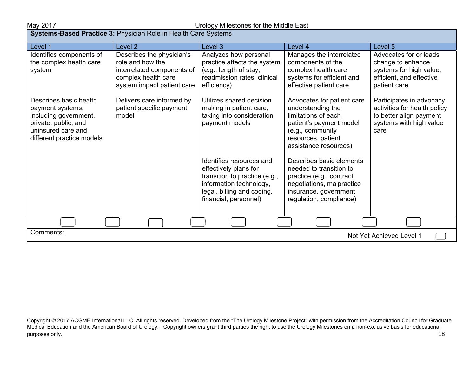| <b>Systems-Based Practice 3: Physician Role in Health Care Systems</b>                                                                         |                                                                                                                                  |                                                                                                                                                                      |                                                                                                                                                                      |                                                                                                                        |
|------------------------------------------------------------------------------------------------------------------------------------------------|----------------------------------------------------------------------------------------------------------------------------------|----------------------------------------------------------------------------------------------------------------------------------------------------------------------|----------------------------------------------------------------------------------------------------------------------------------------------------------------------|------------------------------------------------------------------------------------------------------------------------|
| Level 1                                                                                                                                        | Level <sub>2</sub>                                                                                                               | Level 3                                                                                                                                                              | Level 4                                                                                                                                                              | Level 5                                                                                                                |
| Identifies components of<br>the complex health care<br>system                                                                                  | Describes the physician's<br>role and how the<br>interrelated components of<br>complex health care<br>system impact patient care | Analyzes how personal<br>practice affects the system<br>(e.g., length of stay,<br>readmission rates, clinical<br>efficiency)                                         | Manages the interrelated<br>components of the<br>complex health care<br>systems for efficient and<br>effective patient care                                          | Advocates for or leads<br>change to enhance<br>systems for high value,<br>efficient, and effective<br>patient care     |
| Describes basic health<br>payment systems,<br>including government,<br>private, public, and<br>uninsured care and<br>different practice models | Delivers care informed by<br>patient specific payment<br>model                                                                   | Utilizes shared decision<br>making in patient care,<br>taking into consideration<br>payment models                                                                   | Advocates for patient care<br>understanding the<br>limitations of each<br>patient's payment model<br>(e.g., community<br>resources, patient<br>assistance resources) | Participates in advocacy<br>activities for health policy<br>to better align payment<br>systems with high value<br>care |
|                                                                                                                                                |                                                                                                                                  | Identifies resources and<br>effectively plans for<br>transition to practice (e.g.,<br>information technology,<br>legal, billing and coding,<br>financial, personnel) | Describes basic elements<br>needed to transition to<br>practice (e.g., contract<br>negotiations, malpractice<br>insurance, government<br>regulation, compliance)     |                                                                                                                        |
|                                                                                                                                                |                                                                                                                                  |                                                                                                                                                                      |                                                                                                                                                                      |                                                                                                                        |
| Comments:<br>Not Yet Achieved Level 1                                                                                                          |                                                                                                                                  |                                                                                                                                                                      |                                                                                                                                                                      |                                                                                                                        |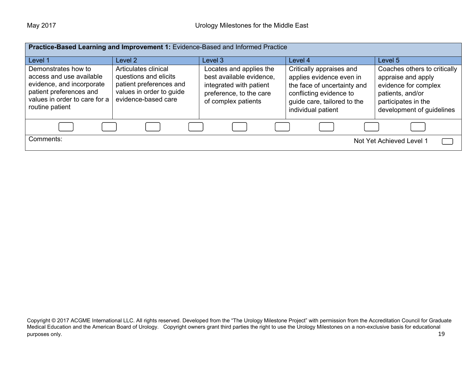| Practice-Based Learning and Improvement 1: Evidence-Based and Informed Practice                                                                             |                                                                                                                             |                                                                                                                                  |                                                                                                                                                                     |                                                                                                                                                    |  |
|-------------------------------------------------------------------------------------------------------------------------------------------------------------|-----------------------------------------------------------------------------------------------------------------------------|----------------------------------------------------------------------------------------------------------------------------------|---------------------------------------------------------------------------------------------------------------------------------------------------------------------|----------------------------------------------------------------------------------------------------------------------------------------------------|--|
| Level 1                                                                                                                                                     | Level 2                                                                                                                     | Level 3                                                                                                                          | Level 4                                                                                                                                                             | Level 5                                                                                                                                            |  |
| Demonstrates how to<br>access and use available<br>evidence, and incorporate<br>patient preferences and<br>values in order to care for a<br>routine patient | Articulates clinical<br>questions and elicits<br>patient preferences and<br>values in order to guide<br>evidence-based care | Locates and applies the<br>best available evidence,<br>integrated with patient<br>preference, to the care<br>of complex patients | Critically appraises and<br>applies evidence even in<br>the face of uncertainty and<br>conflicting evidence to<br>guide care, tailored to the<br>individual patient | Coaches others to critically<br>appraise and apply<br>evidence for complex<br>patients, and/or<br>participates in the<br>development of guidelines |  |
|                                                                                                                                                             |                                                                                                                             |                                                                                                                                  |                                                                                                                                                                     |                                                                                                                                                    |  |
| Comments:                                                                                                                                                   |                                                                                                                             |                                                                                                                                  |                                                                                                                                                                     | Not Yet Achieved Level 1                                                                                                                           |  |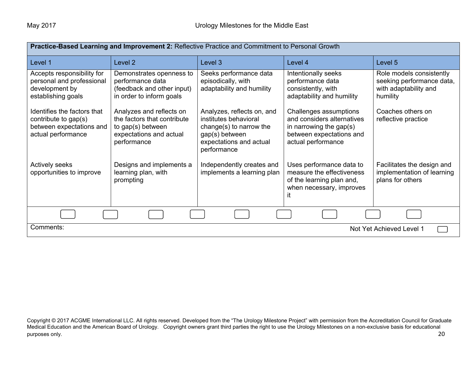| Practice-Based Learning and Improvement 2: Reflective Practice and Commitment to Personal Growth      |                                                                                                                        |                                                                                                                                            |                                                                                                                                      |                                                                                            |  |
|-------------------------------------------------------------------------------------------------------|------------------------------------------------------------------------------------------------------------------------|--------------------------------------------------------------------------------------------------------------------------------------------|--------------------------------------------------------------------------------------------------------------------------------------|--------------------------------------------------------------------------------------------|--|
| Level 1                                                                                               | Level 2                                                                                                                | Level 3                                                                                                                                    | Level 4                                                                                                                              | Level 5                                                                                    |  |
| Accepts responsibility for<br>personal and professional<br>development by<br>establishing goals       | Demonstrates openness to<br>performance data<br>(feedback and other input)<br>in order to inform goals                 | Seeks performance data<br>episodically, with<br>adaptability and humility                                                                  | Intentionally seeks<br>performance data<br>consistently, with<br>adaptability and humility                                           | Role models consistently<br>seeking performance data,<br>with adaptability and<br>humility |  |
| Identifies the factors that<br>contribute to gap(s)<br>between expectations and<br>actual performance | Analyzes and reflects on<br>the factors that contribute<br>to gap(s) between<br>expectations and actual<br>performance | Analyzes, reflects on, and<br>institutes behavioral<br>change(s) to narrow the<br>gap(s) between<br>expectations and actual<br>performance | Challenges assumptions<br>and considers alternatives<br>in narrowing the gap $(s)$<br>between expectations and<br>actual performance | Coaches others on<br>reflective practice                                                   |  |
| <b>Actively seeks</b><br>opportunities to improve                                                     | Designs and implements a<br>learning plan, with<br>prompting                                                           | Independently creates and<br>implements a learning plan                                                                                    | Uses performance data to<br>measure the effectiveness<br>of the learning plan and,<br>when necessary, improves<br>it                 | Facilitates the design and<br>implementation of learning<br>plans for others               |  |
|                                                                                                       |                                                                                                                        |                                                                                                                                            |                                                                                                                                      |                                                                                            |  |
| Comments:<br>Not Yet Achieved Level 1                                                                 |                                                                                                                        |                                                                                                                                            |                                                                                                                                      |                                                                                            |  |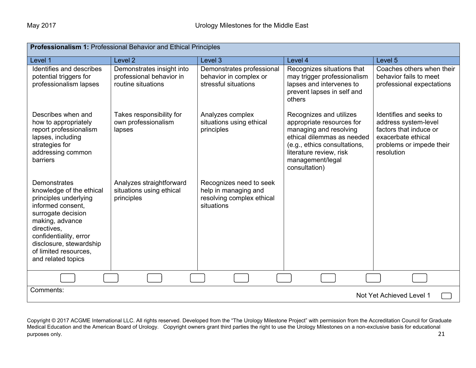| <b>Professionalism 1: Professional Behavior and Ethical Principles</b>                                                                                                                                                                             |                                                                             |                                                                                            |                                                                                                                                                                                                              |                                                                                                                                           |
|----------------------------------------------------------------------------------------------------------------------------------------------------------------------------------------------------------------------------------------------------|-----------------------------------------------------------------------------|--------------------------------------------------------------------------------------------|--------------------------------------------------------------------------------------------------------------------------------------------------------------------------------------------------------------|-------------------------------------------------------------------------------------------------------------------------------------------|
| Level 1                                                                                                                                                                                                                                            | Level <sub>2</sub>                                                          | Level 3                                                                                    | Level 4                                                                                                                                                                                                      | Level <sub>5</sub>                                                                                                                        |
| Identifies and describes<br>potential triggers for<br>professionalism lapses                                                                                                                                                                       | Demonstrates insight into<br>professional behavior in<br>routine situations | Demonstrates professional<br>behavior in complex or<br>stressful situations                | Recognizes situations that<br>may trigger professionalism<br>lapses and intervenes to<br>prevent lapses in self and<br>others                                                                                | Coaches others when their<br>behavior fails to meet<br>professional expectations                                                          |
| Describes when and<br>how to appropriately<br>report professionalism<br>lapses, including<br>strategies for<br>addressing common<br>barriers                                                                                                       | Takes responsibility for<br>own professionalism<br>lapses                   | Analyzes complex<br>situations using ethical<br>principles                                 | Recognizes and utilizes<br>appropriate resources for<br>managing and resolving<br>ethical dilemmas as needed<br>(e.g., ethics consultations,<br>literature review, risk<br>management/legal<br>consultation) | Identifies and seeks to<br>address system-level<br>factors that induce or<br>exacerbate ethical<br>problems or impede their<br>resolution |
| Demonstrates<br>knowledge of the ethical<br>principles underlying<br>informed consent,<br>surrogate decision<br>making, advance<br>directives,<br>confidentiality, error<br>disclosure, stewardship<br>of limited resources.<br>and related topics | Analyzes straightforward<br>situations using ethical<br>principles          | Recognizes need to seek<br>help in managing and<br>resolving complex ethical<br>situations |                                                                                                                                                                                                              |                                                                                                                                           |
|                                                                                                                                                                                                                                                    |                                                                             |                                                                                            |                                                                                                                                                                                                              |                                                                                                                                           |
| Comments:                                                                                                                                                                                                                                          |                                                                             |                                                                                            |                                                                                                                                                                                                              | Not Yet Achieved Level 1                                                                                                                  |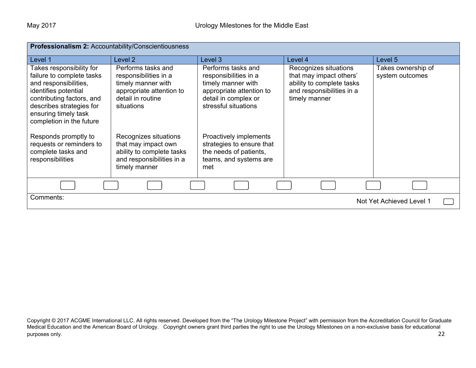| Professionalism 2: Accountability/Conscientiousness                                                                                                                                                                 |                                                                                                                                  |                                                                                                                                               |                                                                                                                             |                                       |
|---------------------------------------------------------------------------------------------------------------------------------------------------------------------------------------------------------------------|----------------------------------------------------------------------------------------------------------------------------------|-----------------------------------------------------------------------------------------------------------------------------------------------|-----------------------------------------------------------------------------------------------------------------------------|---------------------------------------|
| Level 1                                                                                                                                                                                                             | Level <sub>2</sub>                                                                                                               | Level 3                                                                                                                                       | Level 4                                                                                                                     | Level 5                               |
| Takes responsibility for<br>failure to complete tasks<br>and responsibilities,<br>identifies potential<br>contributing factors, and<br>describes strategies for<br>ensuring timely task<br>completion in the future | Performs tasks and<br>responsibilities in a<br>timely manner with<br>appropriate attention to<br>detail in routine<br>situations | Performs tasks and<br>responsibilities in a<br>timely manner with<br>appropriate attention to<br>detail in complex or<br>stressful situations | Recognizes situations<br>that may impact others'<br>ability to complete tasks<br>and responsibilities in a<br>timely manner | Takes ownership of<br>system outcomes |
| Responds promptly to<br>requests or reminders to<br>complete tasks and<br>responsibilities                                                                                                                          | Recognizes situations<br>that may impact own<br>ability to complete tasks<br>and responsibilities in a<br>timely manner          | Proactively implements<br>strategies to ensure that<br>the needs of patients,<br>teams, and systems are<br>met                                |                                                                                                                             |                                       |
|                                                                                                                                                                                                                     |                                                                                                                                  |                                                                                                                                               |                                                                                                                             |                                       |
| Comments:<br>Not Yet Achieved Level 1                                                                                                                                                                               |                                                                                                                                  |                                                                                                                                               |                                                                                                                             |                                       |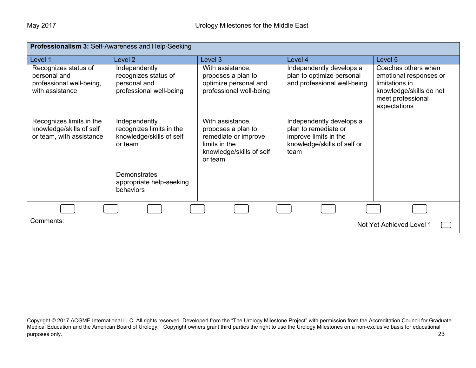| Professionalism 3: Self-Awareness and Help-Seeking                                  |                                                                                  |                                                                                                                        |                                                                                                                  |                                                                                                                                 |
|-------------------------------------------------------------------------------------|----------------------------------------------------------------------------------|------------------------------------------------------------------------------------------------------------------------|------------------------------------------------------------------------------------------------------------------|---------------------------------------------------------------------------------------------------------------------------------|
| Level 1                                                                             | Level <sub>2</sub>                                                               | Level 3                                                                                                                | Level 4                                                                                                          | Level 5                                                                                                                         |
| Recognizes status of<br>personal and<br>professional well-being,<br>with assistance | Independently<br>recognizes status of<br>personal and<br>professional well-being | With assistance,<br>proposes a plan to<br>optimize personal and<br>professional well-being                             | Independently develops a<br>plan to optimize personal<br>and professional well-being                             | Coaches others when<br>emotional responses or<br>limitations in<br>knowledge/skills do not<br>meet professional<br>expectations |
| Recognizes limits in the<br>knowledge/skills of self<br>or team, with assistance    | Independently<br>recognizes limits in the<br>knowledge/skills of self<br>or team | With assistance,<br>proposes a plan to<br>remediate or improve<br>limits in the<br>knowledge/skills of self<br>or team | Independently develops a<br>plan to remediate or<br>improve limits in the<br>knowledge/skills of self or<br>team |                                                                                                                                 |
|                                                                                     | <b>Demonstrates</b><br>appropriate help-seeking<br>behaviors                     |                                                                                                                        |                                                                                                                  |                                                                                                                                 |
|                                                                                     |                                                                                  |                                                                                                                        |                                                                                                                  |                                                                                                                                 |
| Comments:<br>Not Yet Achieved Level 1                                               |                                                                                  |                                                                                                                        |                                                                                                                  |                                                                                                                                 |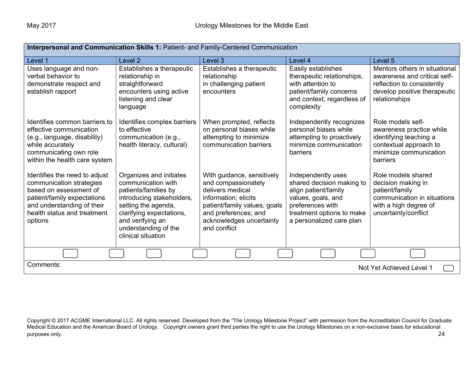| Interpersonal and Communication Skills 1: Patient- and Family-Centered Communication                                                                                                       |                                                                                                                                                                                                                         |                                                                                                                                                                                                   |                                                                                                                                                                            |                                                                                                                                              |
|--------------------------------------------------------------------------------------------------------------------------------------------------------------------------------------------|-------------------------------------------------------------------------------------------------------------------------------------------------------------------------------------------------------------------------|---------------------------------------------------------------------------------------------------------------------------------------------------------------------------------------------------|----------------------------------------------------------------------------------------------------------------------------------------------------------------------------|----------------------------------------------------------------------------------------------------------------------------------------------|
| Level 1                                                                                                                                                                                    | Level 2                                                                                                                                                                                                                 | Level 3                                                                                                                                                                                           | Level 4                                                                                                                                                                    | Level 5                                                                                                                                      |
| Uses language and non-<br>verbal behavior to<br>demonstrate respect and<br>establish rapport                                                                                               | Establishes a therapeutic<br>relationship in<br>straightforward<br>encounters using active<br>listening and clear<br>language                                                                                           | Establishes a therapeutic<br>relationship<br>in challenging patient<br>encounters                                                                                                                 | Easily establishes<br>therapeutic relationships,<br>with attention to<br>patient/family concerns<br>and context, regardless of<br>complexity                               | Mentors others in situational<br>awareness and critical self-<br>reflection to consistently<br>develop positive therapeutic<br>relationships |
| Identifies common barriers to<br>effective communication<br>(e.g., language, disability)<br>while accurately<br>communicating own role<br>within the health care system                    | Identifies complex barriers<br>to effective<br>communication (e.g.,<br>health literacy, cultural)                                                                                                                       | When prompted, reflects<br>on personal biases while<br>attempting to minimize<br>communication barriers                                                                                           | Independently recognizes<br>personal biases while<br>attempting to proactively<br>minimize communication<br>barriers                                                       | Role models self-<br>awareness practice while<br>identifying teaching a<br>contextual approach to<br>minimize communication<br>barriers      |
| Identifies the need to adjust<br>communication strategies<br>based on assessment of<br>patient/family expectations<br>and understanding of their<br>health status and treatment<br>options | Organizes and initiates<br>communication with<br>patients/families by<br>introducing stakeholders,<br>setting the agenda,<br>clarifying expectations,<br>and verifying an<br>understanding of the<br>clinical situation | With guidance, sensitively<br>and compassionately<br>delivers medical<br>information; elicits<br>patient/family values, goals<br>and preferences; and<br>acknowledges uncertainty<br>and conflict | Independently uses<br>shared decision making to<br>align patient/family<br>values, goals, and<br>preferences with<br>treatment options to make<br>a personalized care plan | Role models shared<br>decision making in<br>patient/family<br>communication in situations<br>with a high degree of<br>uncertainty/conflict   |
|                                                                                                                                                                                            |                                                                                                                                                                                                                         |                                                                                                                                                                                                   |                                                                                                                                                                            |                                                                                                                                              |
| Comments:<br>Not Yet Achieved Level 1                                                                                                                                                      |                                                                                                                                                                                                                         |                                                                                                                                                                                                   |                                                                                                                                                                            |                                                                                                                                              |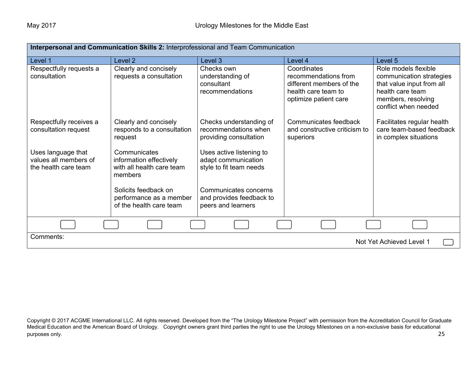| Interpersonal and Communication Skills 2: Interprofessional and Team Communication |                                                                                 |                                                                            |                                                                                                                 |                                                                                                                                                 |  |
|------------------------------------------------------------------------------------|---------------------------------------------------------------------------------|----------------------------------------------------------------------------|-----------------------------------------------------------------------------------------------------------------|-------------------------------------------------------------------------------------------------------------------------------------------------|--|
| Level 1                                                                            | Level <sub>2</sub>                                                              | Level 3                                                                    | Level 4                                                                                                         | Level 5                                                                                                                                         |  |
| Respectfully requests a<br>consultation                                            | Clearly and concisely<br>requests a consultation                                | Checks own<br>understanding of<br>consultant<br>recommendations            | Coordinates<br>recommendations from<br>different members of the<br>health care team to<br>optimize patient care | Role models flexible<br>communication strategies<br>that value input from all<br>health care team<br>members, resolving<br>conflict when needed |  |
| Respectfully receives a<br>consultation request                                    | Clearly and concisely<br>responds to a consultation<br>request                  | Checks understanding of<br>recommendations when<br>providing consultation  | Communicates feedback<br>and constructive criticism to<br>superiors                                             | Facilitates regular health<br>care team-based feedback<br>in complex situations                                                                 |  |
| Uses language that<br>values all members of<br>the health care team                | Communicates<br>information effectively<br>with all health care team<br>members | Uses active listening to<br>adapt communication<br>style to fit team needs |                                                                                                                 |                                                                                                                                                 |  |
|                                                                                    | Solicits feedback on<br>performance as a member<br>of the health care team      | Communicates concerns<br>and provides feedback to<br>peers and learners    |                                                                                                                 |                                                                                                                                                 |  |
|                                                                                    |                                                                                 |                                                                            |                                                                                                                 |                                                                                                                                                 |  |
| Comments:<br>Not Yet Achieved Level 1                                              |                                                                                 |                                                                            |                                                                                                                 |                                                                                                                                                 |  |